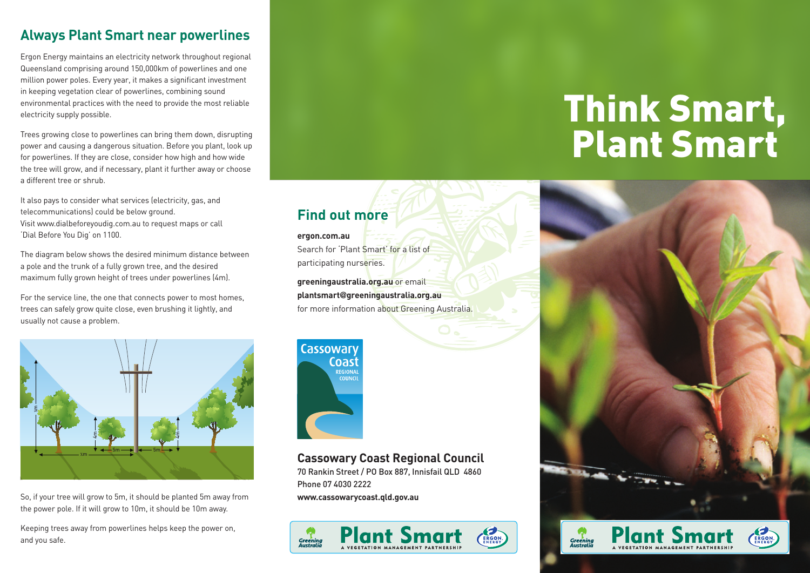### **Always Plant Smart near powerlines**

Ergon Energy maintains an electricity network throughout regional Queensland comprising around 150,000km of powerlines and one million power poles. Every year, it makes a significant investment in keeping vegetation clear of powerlines, combining sound environmental practices with the need to provide the most reliable electricity supply possible.

Trees growing close to powerlines can bring them down, disrupting power and causing a dangerous situation. Before you plant, look up for powerlines. If they are close, consider how high and how wide the tree will grow, and if necessary, plant it further away or choose a different tree or shrub.

It also pays to consider what services (electricity, gas, and telecommunications) could be below ground. Visit www.dialbeforeyoudig.com.au to request maps or call 'Dial Before You Dig' on 1100.

The diagram below shows the desired minimum distance between a pole and the trunk of a fully grown tree, and the desired maximum fully grown height of trees under powerlines (4m).

For the service line, the one that connects power to most homes, trees can safely grow quite close, even brushing it lightly, and usually not cause a problem.



So, if your tree will grow to 5m, it should be planted 5m away from the power pole. If it will grow to 10m, it should be 10m away.

Keeping trees away from powerlines helps keep the power on, and you safe.

## Cassowary Coast REGIONA **COUNCIL**

**Find out more**

participating nurseries.

Search for 'Plant Smart' for a list of

**greeningaustralia.org.au** or email **plantsmart@greeningaustralia.org.au**

for more information about Greening Australia.

**ergon.com.au**

#### **Cassowary Coast Regional Council**

70 Rankin Street / PO Box 887, Innisfail QLD 4860 Phone 07 4030 2222 **www.cassowarycoast.qld.gov.au**



# Think Smart, Plant Smart



**Greening**<br>Australia